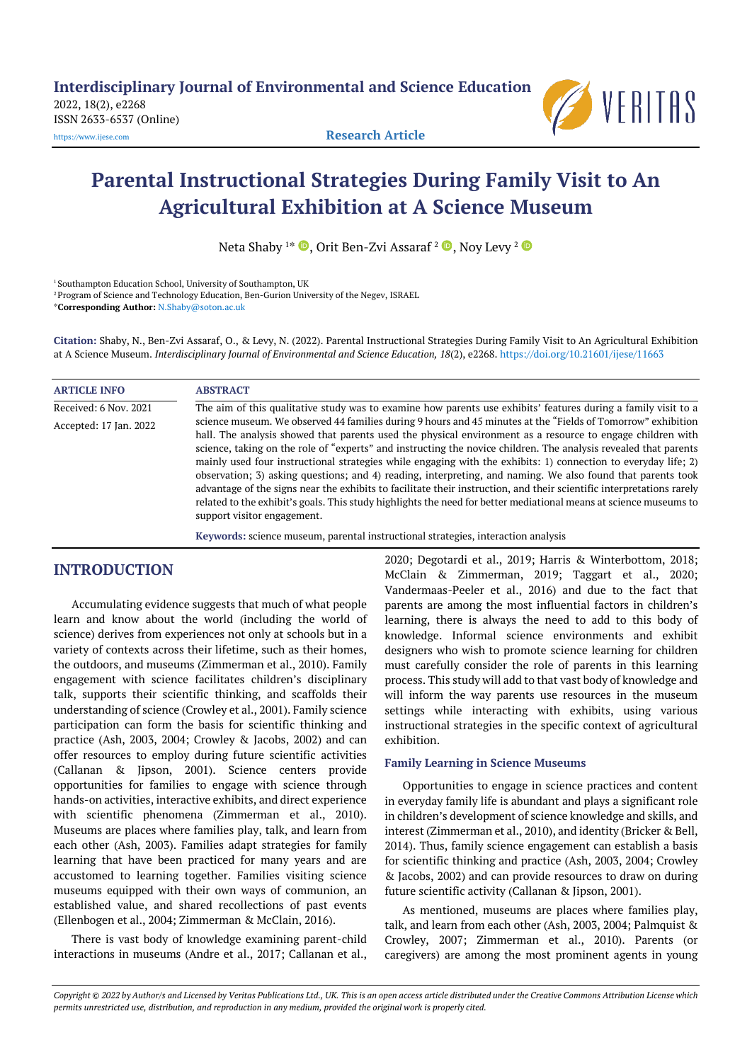2022, 18(2), e2268 ISSN 2633-6537 (Online)



[https://www.ijese.com](https://www.ijese.com/) **Research Article**

# **Parental Instructional Strategies During Family Visit to An Agricultural Exhibition at A Science Museum**

Neta Shaby 1\*  $\textcolor{blue} \bullet$  [,](https://orcid.org/0000-0002-4194-9998) Orit Ben-Zvi Assaraf <sup>2</sup>  $\textcolor{blue} \bullet$  , Noy Levy <sup>2</sup>

<sup>1</sup> Southampton Education School, University of Southampton, UK

<sup>2</sup> Program of Science and Technology Education, Ben-Gurion University of the Negev, ISRAEL

\***Corresponding Author:** [N.Shaby@soton.ac.uk](mailto:N.Shaby@soton.ac.uk)

**Citation:** Shaby, N., Ben-Zvi Assaraf, O., & Levy, N. (2022). Parental Instructional Strategies During Family Visit to An Agricultural Exhibition at A Science Museum. *Interdisciplinary Journal of Environmental and Science Education, 18*(2), e2268. <https://doi.org/10.21601/ijese/11663>

| <b>ARTICLE INFO</b>    | <b>ABSTRACT</b>                                                                                                                                                                                                                                                                                                                                                                                                                                                                                                                                                                                                                                                                                                                                                                                                                                              |  |
|------------------------|--------------------------------------------------------------------------------------------------------------------------------------------------------------------------------------------------------------------------------------------------------------------------------------------------------------------------------------------------------------------------------------------------------------------------------------------------------------------------------------------------------------------------------------------------------------------------------------------------------------------------------------------------------------------------------------------------------------------------------------------------------------------------------------------------------------------------------------------------------------|--|
| Received: 6 Nov. 2021  | The aim of this qualitative study was to examine how parents use exhibits' features during a family visit to a                                                                                                                                                                                                                                                                                                                                                                                                                                                                                                                                                                                                                                                                                                                                               |  |
| Accepted: 17 Jan. 2022 | science museum. We observed 44 families during 9 hours and 45 minutes at the "Fields of Tomorrow" exhibition<br>hall. The analysis showed that parents used the physical environment as a resource to engage children with<br>science, taking on the role of "experts" and instructing the novice children. The analysis revealed that parents<br>mainly used four instructional strategies while engaging with the exhibits: 1) connection to everyday life; 2)<br>observation; 3) asking questions; and 4) reading, interpreting, and naming. We also found that parents took<br>advantage of the signs near the exhibits to facilitate their instruction, and their scientific interpretations rarely<br>related to the exhibit's goals. This study highlights the need for better mediational means at science museums to<br>support visitor engagement. |  |
|                        | Keywords: science museum, parental instructional strategies, interaction analysis                                                                                                                                                                                                                                                                                                                                                                                                                                                                                                                                                                                                                                                                                                                                                                            |  |

# **INTRODUCTION**

Accumulating evidence suggests that much of what people learn and know about the world (including the world of science) derives from experiences not only at schools but in a variety of contexts across their lifetime, such as their homes, the outdoors, and museums (Zimmerman et al., 2010). Family engagement with science facilitates children's disciplinary talk, supports their scientific thinking, and scaffolds their understanding of science (Crowley et al., 2001). Family science participation can form the basis for scientific thinking and practice (Ash, 2003, 2004; Crowley & Jacobs, 2002) and can offer resources to employ during future scientific activities (Callanan & Jipson, 2001). Science centers provide opportunities for families to engage with science through hands-on activities, interactive exhibits, and direct experience with scientific phenomena (Zimmerman et al., 2010). Museums are places where families play, talk, and learn from each other (Ash, 2003). Families adapt strategies for family learning that have been practiced for many years and are accustomed to learning together. Families visiting science museums equipped with their own ways of communion, an established value, and shared recollections of past events (Ellenbogen et al., 2004; Zimmerman & McClain, 2016).

There is vast body of knowledge examining parent-child interactions in museums (Andre et al., 2017; Callanan et al., 2020; Degotardi et al., 2019; Harris & Winterbottom, 2018; McClain & Zimmerman, 2019; Taggart et al., 2020; Vandermaas-Peeler et al., 2016) and due to the fact that parents are among the most influential factors in children's learning, there is always the need to add to this body of knowledge. Informal science environments and exhibit designers who wish to promote science learning for children must carefully consider the role of parents in this learning process. This study will add to that vast body of knowledge and will inform the way parents use resources in the museum settings while interacting with exhibits, using various instructional strategies in the specific context of agricultural exhibition.

## **Family Learning in Science Museums**

Opportunities to engage in science practices and content in everyday family life is abundant and plays a significant role in children's development of science knowledge and skills, and interest (Zimmerman et al., 2010), and identity (Bricker & Bell, 2014). Thus, family science engagement can establish a basis for scientific thinking and practice (Ash, 2003, 2004; Crowley & Jacobs, 2002) and can provide resources to draw on during future scientific activity (Callanan & Jipson, 2001).

As mentioned, museums are places where families play, talk, and learn from each other (Ash, 2003, 2004; Palmquist & Crowley, 2007; Zimmerman et al., 2010). Parents (or caregivers) are among the most prominent agents in young

Copyright @ 2022 by Author/s and Licensed by Veritas Publications Ltd., UK. This is an open access article distributed under the Creative Commons Attribution License which permits unrestricted use, distribution, and reproduction in any medium, provided the original work is properly cited.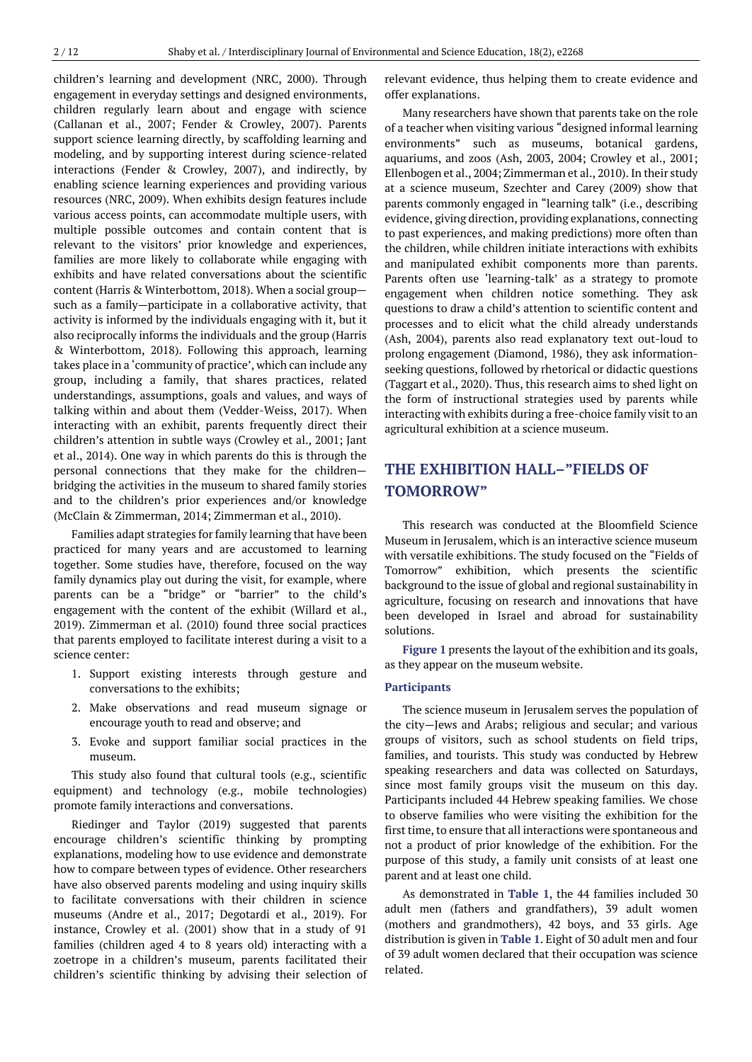children's learning and development (NRC, 2000). Through engagement in everyday settings and designed environments, children regularly learn about and engage with science (Callanan et al., 2007; Fender & Crowley, 2007). Parents support science learning directly, by scaffolding learning and modeling, and by supporting interest during science-related interactions (Fender & Crowley, 2007), and indirectly, by enabling science learning experiences and providing various resources (NRC, 2009). When exhibits design features include various access points, can accommodate multiple users, with multiple possible outcomes and contain content that is relevant to the visitors' prior knowledge and experiences, families are more likely to collaborate while engaging with exhibits and have related conversations about the scientific content (Harris & Winterbottom, 2018). When a social group such as a family—participate in a collaborative activity, that activity is informed by the individuals engaging with it, but it also reciprocally informs the individuals and the group (Harris & Winterbottom, 2018). Following this approach, learning takes place in a 'community of practice', which can include any group, including a family, that shares practices, related understandings, assumptions, goals and values, and ways of talking within and about them (Vedder-Weiss, 2017). When interacting with an exhibit, parents frequently direct their children's attention in subtle ways (Crowley et al., 2001; Jant et al., 2014). One way in which parents do this is through the personal connections that they make for the children bridging the activities in the museum to shared family stories and to the children's prior experiences and/or knowledge (McClain & Zimmerman, 2014; Zimmerman et al., 2010).

Families adapt strategies for family learning that have been practiced for many years and are accustomed to learning together. Some studies have, therefore, focused on the way family dynamics play out during the visit, for example, where parents can be a "bridge" or "barrier" to the child's engagement with the content of the exhibit (Willard et al., 2019). Zimmerman et al. (2010) found three social practices that parents employed to facilitate interest during a visit to a science center:

- 1. Support existing interests through gesture and conversations to the exhibits;
- 2. Make observations and read museum signage or encourage youth to read and observe; and
- 3. Evoke and support familiar social practices in the museum.

This study also found that cultural tools (e.g., scientific equipment) and technology (e.g., mobile technologies) promote family interactions and conversations.

Riedinger and Taylor (2019) suggested that parents encourage children's scientific thinking by prompting explanations, modeling how to use evidence and demonstrate how to compare between types of evidence. Other researchers have also observed parents modeling and using inquiry skills to facilitate conversations with their children in science museums (Andre et al., 2017; Degotardi et al., 2019). For instance, Crowley et al. (2001) show that in a study of 91 families (children aged 4 to 8 years old) interacting with a zoetrope in a children's museum, parents facilitated their children's scientific thinking by advising their selection of

relevant evidence, thus helping them to create evidence and offer explanations.

Many researchers have shown that parents take on the role of a teacher when visiting various "designed informal learning environments" such as museums, botanical gardens, aquariums, and zoos (Ash, 2003, 2004; Crowley et al., 2001; Ellenbogen et al., 2004; Zimmerman et al., 2010). In their study at a science museum, Szechter and Carey (2009) show that parents commonly engaged in "learning talk" (i.e., describing evidence, giving direction, providing explanations, connecting to past experiences, and making predictions) more often than the children, while children initiate interactions with exhibits and manipulated exhibit components more than parents. Parents often use 'learning-talk' as a strategy to promote engagement when children notice something. They ask questions to draw a child's attention to scientific content and processes and to elicit what the child already understands (Ash, 2004), parents also read explanatory text out-loud to prolong engagement (Diamond, 1986), they ask informationseeking questions, followed by rhetorical or didactic questions (Taggart et al., 2020). Thus, this research aims to shed light on the form of instructional strategies used by parents while interacting with exhibits during a free-choice family visit to an agricultural exhibition at a science museum.

# **THE EXHIBITION HALL–"FIELDS OF TOMORROW"**

This research was conducted at the Bloomfield Science Museum in Jerusalem, which is an interactive science museum with versatile exhibitions. The study focused on the "Fields of Tomorrow" exhibition, which presents the scientific background to the issue of global and regional sustainability in agriculture, focusing on research and innovations that have been developed in Israel and abroad for sustainability solutions.

**Figure 1** presents the layout of the exhibition and its goals, as they appear on the museum website.

## **Participants**

The science museum in Jerusalem serves the population of the city—Jews and Arabs; religious and secular; and various groups of visitors, such as school students on field trips, families, and tourists. This study was conducted by Hebrew speaking researchers and data was collected on Saturdays, since most family groups visit the museum on this day. Participants included 44 Hebrew speaking families*.* We chose to observe families who were visiting the exhibition for the first time, to ensure that all interactions were spontaneous and not a product of prior knowledge of the exhibition. For the purpose of this study, a family unit consists of at least one parent and at least one child.

As demonstrated in **Table 1**, the 44 families included 30 adult men (fathers and grandfathers), 39 adult women (mothers and grandmothers), 42 boys, and 33 girls. Age distribution is given in **Table 1**. Eight of 30 adult men and four of 39 adult women declared that their occupation was science related.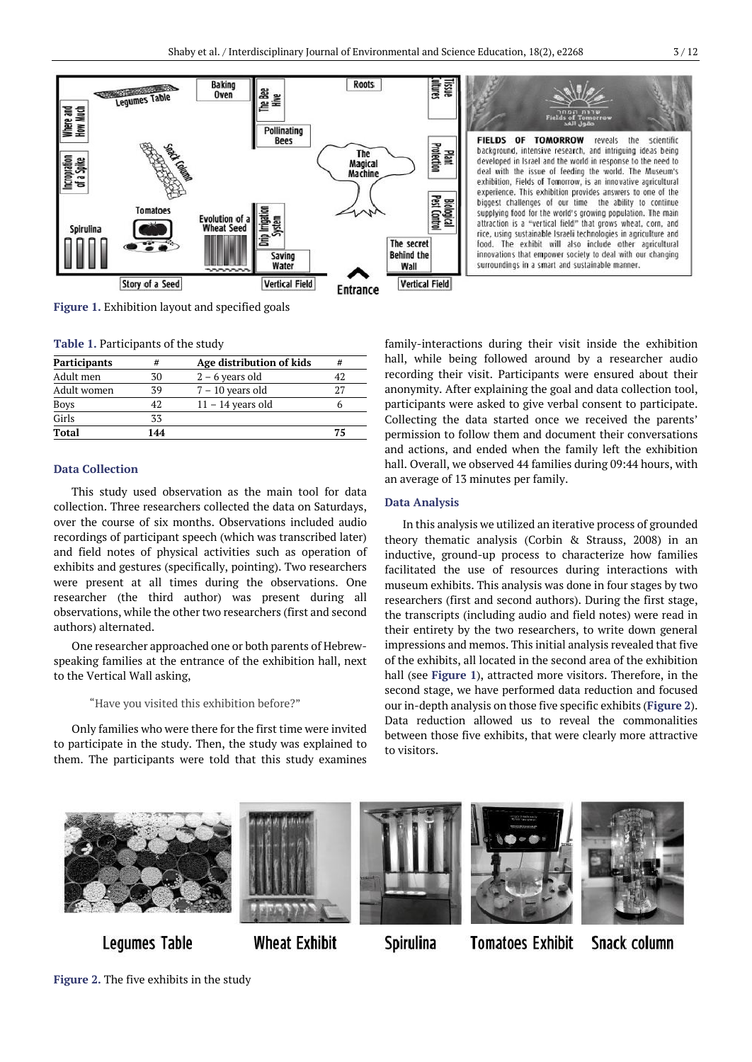

**Figure 1.** Exhibition layout and specified goals

**Table 1.** Participants of the study

| <b>Participants</b> | #   | Age distribution of kids | #  |
|---------------------|-----|--------------------------|----|
| Adult men           | 30  | $2 - 6$ years old        |    |
| Adult women         | 39  | $7 - 10$ years old       | 27 |
| <u>Boys</u>         | 42  | $11 - 14$ years old      |    |
| Girls               | 33  |                          |    |
| Total               | 144 |                          | 75 |

## **Data Collection**

This study used observation as the main tool for data collection. Three researchers collected the data on Saturdays, over the course of six months. Observations included audio recordings of participant speech (which was transcribed later) and field notes of physical activities such as operation of exhibits and gestures (specifically, pointing). Two researchers were present at all times during the observations. One researcher (the third author) was present during all observations, while the other two researchers (first and second authors) alternated.

One researcher approached one or both parents of Hebrewspeaking families at the entrance of the exhibition hall, next to the Vertical Wall asking,

## "Have you visited this exhibition before?"

Only families who were there for the first time were invited to participate in the study. Then, the study was explained to them. The participants were told that this study examines family-interactions during their visit inside the exhibition hall, while being followed around by a researcher audio recording their visit. Participants were ensured about their anonymity. After explaining the goal and data collection tool, participants were asked to give verbal consent to participate. Collecting the data started once we received the parents' permission to follow them and document their conversations and actions, and ended when the family left the exhibition hall. Overall, we observed 44 families during 09:44 hours, with an average of 13 minutes per family.

## **Data Analysis**

In this analysis we utilized an iterative process of grounded theory thematic analysis (Corbin & Strauss, 2008) in an inductive, ground-up process to characterize how families facilitated the use of resources during interactions with museum exhibits. This analysis was done in four stages by two researchers (first and second authors). During the first stage, the transcripts (including audio and field notes) were read in their entirety by the two researchers, to write down general impressions and memos. This initial analysis revealed that five of the exhibits, all located in the second area of the exhibition hall (see **Figure 1**), attracted more visitors. Therefore, in the second stage, we have performed data reduction and focused our in-depth analysis on those five specific exhibits (**Figure 2**). Data reduction allowed us to reveal the commonalities between those five exhibits, that were clearly more attractive to visitors.



**Legumes Table** 

**Wheat Exhibit** 



**Tomatoes Exhibit** 



# Snack column

**Figure 2.** The five exhibits in the study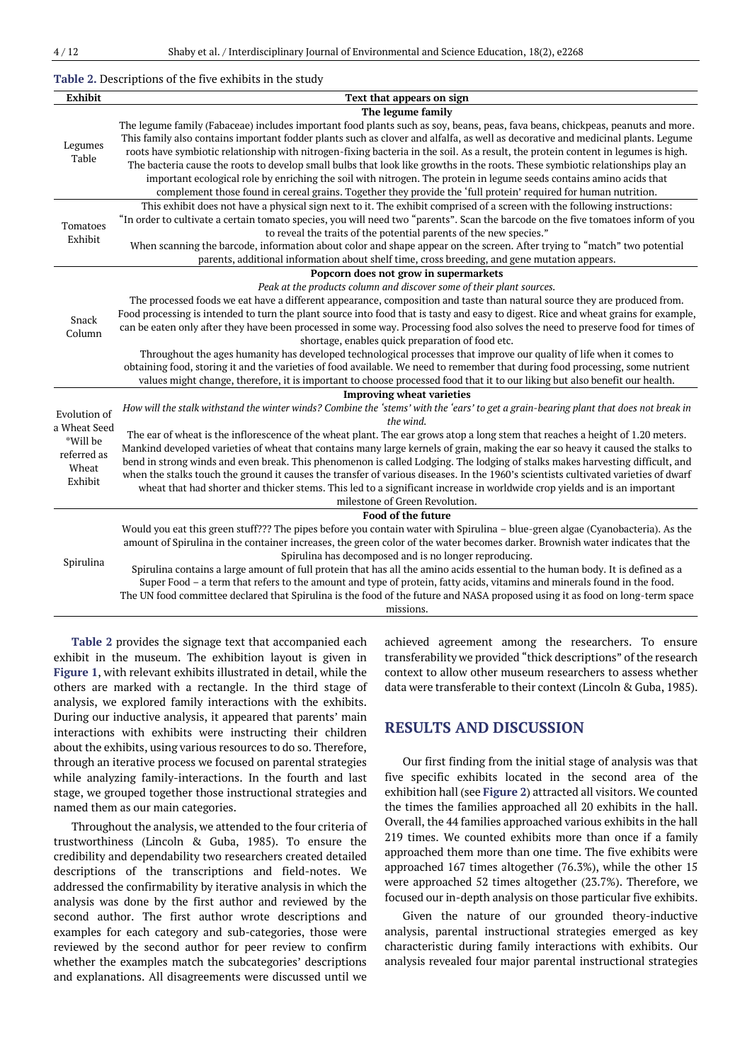#### **Table 2.** Descriptions of the five exhibits in the study

| <b>Exhibit</b> | Text that appears on sign                                                                                                              |
|----------------|----------------------------------------------------------------------------------------------------------------------------------------|
|                | The legume family                                                                                                                      |
|                | The legume family (Fabaceae) includes important food plants such as soy, beans, peas, fava beans, chickpeas, peanuts and more.         |
| Legumes        | This family also contains important fodder plants such as clover and alfalfa, as well as decorative and medicinal plants. Legume       |
| Table          | roots have symbiotic relationship with nitrogen-fixing bacteria in the soil. As a result, the protein content in legumes is high.      |
|                | The bacteria cause the roots to develop small bulbs that look like growths in the roots. These symbiotic relationships play an         |
|                | important ecological role by enriching the soil with nitrogen. The protein in legume seeds contains amino acids that                   |
|                | complement those found in cereal grains. Together they provide the 'full protein' required for human nutrition.                        |
|                | This exhibit does not have a physical sign next to it. The exhibit comprised of a screen with the following instructions:              |
| Tomatoes       | "In order to cultivate a certain tomato species, you will need two "parents". Scan the barcode on the five tomatoes inform of you      |
| Exhibit        | to reveal the traits of the potential parents of the new species."                                                                     |
|                | When scanning the barcode, information about color and shape appear on the screen. After trying to "match" two potential               |
|                | parents, additional information about shelf time, cross breeding, and gene mutation appears.                                           |
|                | Popcorn does not grow in supermarkets                                                                                                  |
|                | Peak at the products column and discover some of their plant sources.                                                                  |
|                | The processed foods we eat have a different appearance, composition and taste than natural source they are produced from.              |
| Snack          | Food processing is intended to turn the plant source into food that is tasty and easy to digest. Rice and wheat grains for example,    |
| Column         | can be eaten only after they have been processed in some way. Processing food also solves the need to preserve food for times of       |
|                | shortage, enables quick preparation of food etc.                                                                                       |
|                | Throughout the ages humanity has developed technological processes that improve our quality of life when it comes to                   |
|                | obtaining food, storing it and the varieties of food available. We need to remember that during food processing, some nutrient         |
|                | values might change, therefore, it is important to choose processed food that it to our liking but also benefit our health.            |
|                | <b>Improving wheat varieties</b>                                                                                                       |
| Evolution of   | How will the stalk withstand the winter winds? Combine the 'stems' with the 'ears' to get a grain-bearing plant that does not break in |
| a Wheat Seed   | the wind.                                                                                                                              |
| *Will be       | The ear of wheat is the inflorescence of the wheat plant. The ear grows atop a long stem that reaches a height of 1.20 meters.         |
| referred as    | Mankind developed varieties of wheat that contains many large kernels of grain, making the ear so heavy it caused the stalks to        |
| Wheat          | bend in strong winds and even break. This phenomenon is called Lodging. The lodging of stalks makes harvesting difficult, and          |
| Exhibit        | when the stalks touch the ground it causes the transfer of various diseases. In the 1960's scientists cultivated varieties of dwarf    |
|                | wheat that had shorter and thicker stems. This led to a significant increase in worldwide crop yields and is an important              |
|                | milestone of Green Revolution.                                                                                                         |
|                | Food of the future                                                                                                                     |
|                | Would you eat this green stuff??? The pipes before you contain water with Spirulina - blue-green algae (Cyanobacteria). As the         |
|                | amount of Spirulina in the container increases, the green color of the water becomes darker. Brownish water indicates that the         |
| Spirulina      | Spirulina has decomposed and is no longer reproducing.                                                                                 |
|                | Spirulina contains a large amount of full protein that has all the amino acids essential to the human body. It is defined as a         |
|                | Super Food - a term that refers to the amount and type of protein, fatty acids, vitamins and minerals found in the food.               |
|                | The UN food committee declared that Spirulina is the food of the future and NASA proposed using it as food on long-term space          |
|                | missions.                                                                                                                              |

**Table 2** provides the signage text that accompanied each exhibit in the museum. The exhibition layout is given in **Figure 1**, with relevant exhibits illustrated in detail, while the others are marked with a rectangle. In the third stage of analysis, we explored family interactions with the exhibits. During our inductive analysis, it appeared that parents' main interactions with exhibits were instructing their children about the exhibits, using various resources to do so. Therefore, through an iterative process we focused on parental strategies while analyzing family-interactions. In the fourth and last stage, we grouped together those instructional strategies and named them as our main categories.

Throughout the analysis, we attended to the four criteria of trustworthiness (Lincoln & Guba, 1985). To ensure the credibility and dependability two researchers created detailed descriptions of the transcriptions and field-notes. We addressed the confirmability by iterative analysis in which the analysis was done by the first author and reviewed by the second author. The first author wrote descriptions and examples for each category and sub-categories, those were reviewed by the second author for peer review to confirm whether the examples match the subcategories' descriptions and explanations. All disagreements were discussed until we achieved agreement among the researchers. To ensure transferability we provided "thick descriptions" of the research context to allow other museum researchers to assess whether data were transferable to their context (Lincoln & Guba, 1985).

# **RESULTS AND DISCUSSION**

Our first finding from the initial stage of analysis was that five specific exhibits located in the second area of the exhibition hall (see **Figure 2**) attracted all visitors. We counted the times the families approached all 20 exhibits in the hall. Overall, the 44 families approached various exhibits in the hall 219 times. We counted exhibits more than once if a family approached them more than one time. The five exhibits were approached 167 times altogether (76.3%), while the other 15 were approached 52 times altogether (23.7%). Therefore, we focused our in-depth analysis on those particular five exhibits.

Given the nature of our grounded theory-inductive analysis, parental instructional strategies emerged as key characteristic during family interactions with exhibits. Our analysis revealed four major parental instructional strategies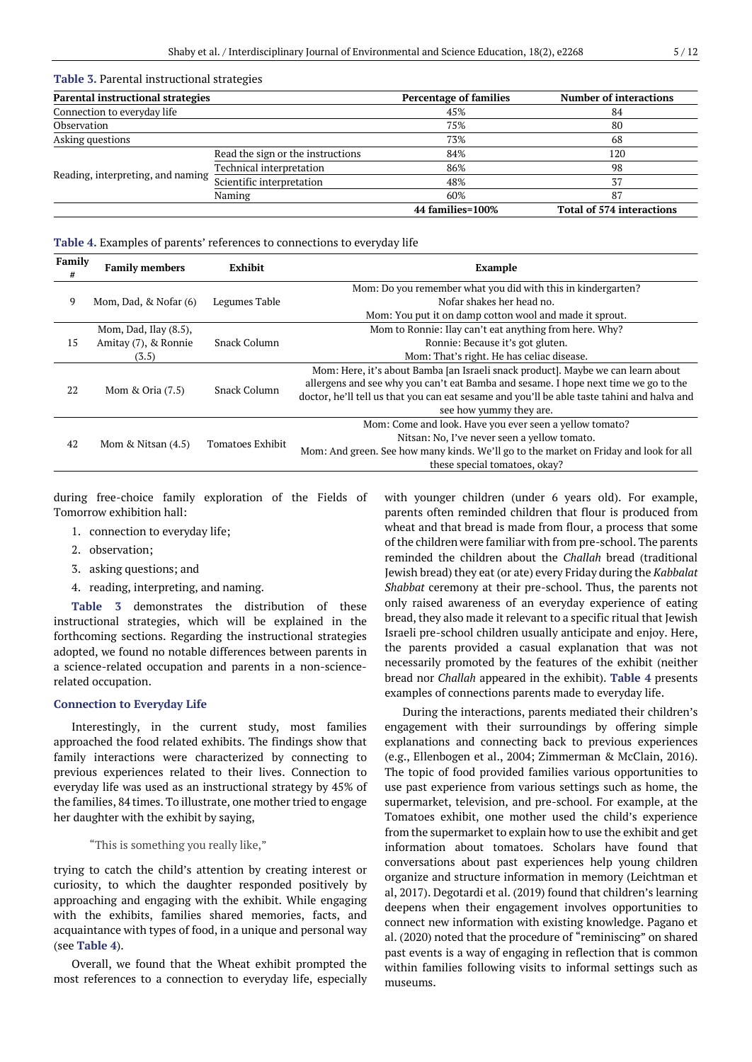#### **Table 3.** Parental instructional strategies

| <b>Parental instructional strategies</b> |                                   | <b>Percentage of families</b> | <b>Number of interactions</b>    |
|------------------------------------------|-----------------------------------|-------------------------------|----------------------------------|
| Connection to everyday life              |                                   | 45%                           | 84                               |
| Observation                              |                                   | 75%                           | 80                               |
| Asking questions                         |                                   | 73%                           | 68                               |
|                                          | Read the sign or the instructions | 84%                           | 120                              |
|                                          | Technical interpretation          | 86%                           | 98                               |
| Reading, interpreting, and naming        | Scientific interpretation         | 48%                           |                                  |
|                                          | Naming                            | 60%                           | 87                               |
|                                          |                                   | 44 families=100%              | <b>Total of 574 interactions</b> |

#### **Table 4.** Examples of parents' references to connections to everyday life

| Family<br># | <b>Family members</b> | Exhibit             | Example                                                                                     |
|-------------|-----------------------|---------------------|---------------------------------------------------------------------------------------------|
| 9           | Mom, Dad, & Nofar (6) | Legumes Table       | Mom: Do you remember what you did with this in kindergarten?                                |
|             |                       |                     | Nofar shakes her head no.                                                                   |
|             |                       |                     | Mom: You put it on damp cotton wool and made it sprout.                                     |
|             | Mom, Dad, Ilay (8.5), |                     | Mom to Ronnie: Ilay can't eat anything from here. Why?                                      |
| 15          | Amitay (7), & Ronnie  | Snack Column        | Ronnie: Because it's got gluten.                                                            |
|             | (3.5)                 |                     | Mom: That's right. He has celiac disease.                                                   |
| 22          | Mom & Oria $(7.5)$    | <b>Snack Column</b> | Mom: Here, it's about Bamba [an Israeli snack product]. Maybe we can learn about            |
|             |                       |                     | allergens and see why you can't eat Bamba and sesame. I hope next time we go to the         |
|             |                       |                     | doctor, he'll tell us that you can eat sesame and you'll be able taste tahini and halva and |
|             |                       |                     | see how yummy they are.                                                                     |
| 42          | Mom & Nitsan $(4.5)$  | Tomatoes Exhibit    | Mom: Come and look. Have you ever seen a yellow tomato?                                     |
|             |                       |                     | Nitsan: No, I've never seen a yellow tomato.                                                |
|             |                       |                     | Mom: And green. See how many kinds. We'll go to the market on Friday and look for all       |
|             |                       |                     | these special tomatoes, okay?                                                               |
|             |                       |                     |                                                                                             |

during free-choice family exploration of the Fields of Tomorrow exhibition hall:

- 1. connection to everyday life;
- 2. observation;
- 3. asking questions; and
- 4. reading, interpreting, and naming.

**Table 3** demonstrates the distribution of these instructional strategies, which will be explained in the forthcoming sections. Regarding the instructional strategies adopted, we found no notable differences between parents in a science-related occupation and parents in a non-sciencerelated occupation.

#### **Connection to Everyday Life**

Interestingly, in the current study, most families approached the food related exhibits. The findings show that family interactions were characterized by connecting to previous experiences related to their lives. Connection to everyday life was used as an instructional strategy by 45% of the families, 84 times. To illustrate, one mother tried to engage her daughter with the exhibit by saying,

"This is something you really like,"

trying to catch the child's attention by creating interest or curiosity, to which the daughter responded positively by approaching and engaging with the exhibit. While engaging with the exhibits, families shared memories, facts, and acquaintance with types of food, in a unique and personal way (see **Table 4**).

Overall, we found that the Wheat exhibit prompted the most references to a connection to everyday life, especially with younger children (under 6 years old). For example, parents often reminded children that flour is produced from wheat and that bread is made from flour, a process that some of the children were familiar with from pre-school. The parents reminded the children about the *Challah* bread (traditional Jewish bread) they eat (or ate) every Friday during the *Kabbalat Shabbat* ceremony at their pre-school. Thus, the parents not only raised awareness of an everyday experience of eating bread, they also made it relevant to a specific ritual that Jewish Israeli pre-school children usually anticipate and enjoy. Here, the parents provided a casual explanation that was not necessarily promoted by the features of the exhibit (neither bread nor *Challah* appeared in the exhibit). **Table 4** presents examples of connections parents made to everyday life.

During the interactions, parents mediated their children's engagement with their surroundings by offering simple explanations and connecting back to previous experiences (e.g., Ellenbogen et al., 2004; Zimmerman & McClain, 2016). The topic of food provided families various opportunities to use past experience from various settings such as home, the supermarket, television, and pre-school. For example, at the Tomatoes exhibit, one mother used the child's experience from the supermarket to explain how to use the exhibit and get information about tomatoes. Scholars have found that conversations about past experiences help young children organize and structure information in memory (Leichtman et al, 2017). Degotardi et al. (2019) found that children's learning deepens when their engagement involves opportunities to connect new information with existing knowledge. Pagano et al. (2020) noted that the procedure of "reminiscing" on shared past events is a way of engaging in reflection that is common within families following visits to informal settings such as museums.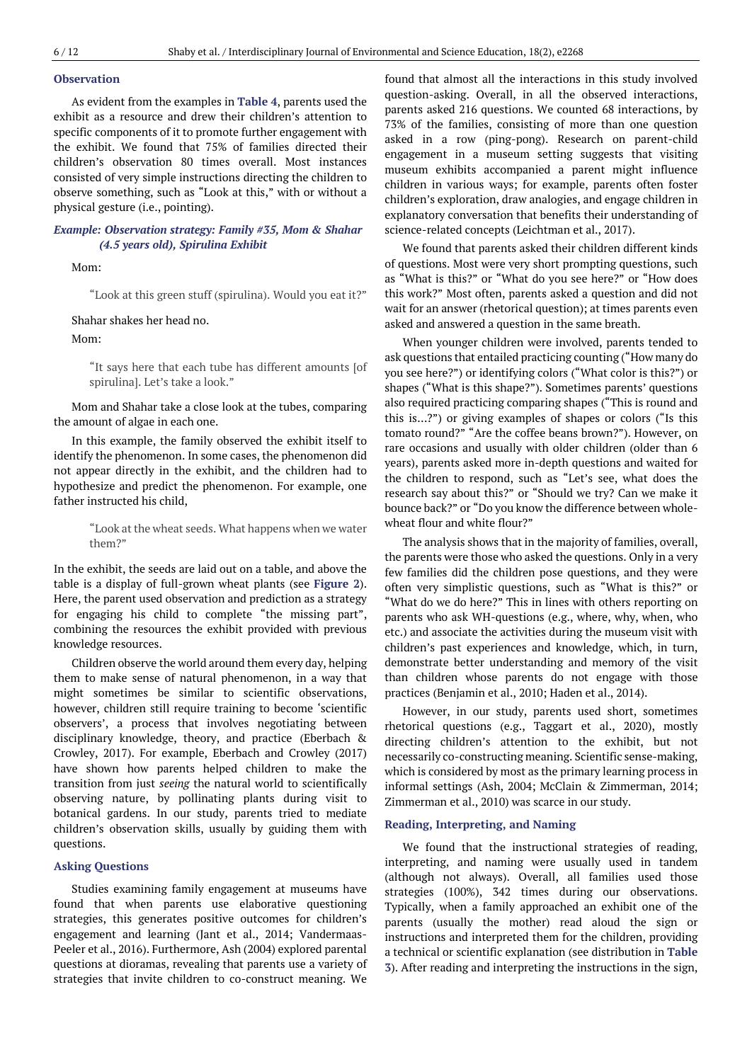## **Observation**

As evident from the examples in **Table 4**, parents used the exhibit as a resource and drew their children's attention to specific components of it to promote further engagement with the exhibit. We found that 75% of families directed their children's observation 80 times overall. Most instances consisted of very simple instructions directing the children to observe something, such as "Look at this," with or without a physical gesture (i.e., pointing).

## *Example: Observation strategy: Family #35, Mom & Shahar (4.5 years old), Spirulina Exhibit*

Mom:

"Look at this green stuff (spirulina). Would you eat it?"

Shahar shakes her head no.

Mom:

"It says here that each tube has different amounts [of spirulina]. Let's take a look."

Mom and Shahar take a close look at the tubes, comparing the amount of algae in each one.

In this example, the family observed the exhibit itself to identify the phenomenon. In some cases, the phenomenon did not appear directly in the exhibit, and the children had to hypothesize and predict the phenomenon. For example, one father instructed his child,

> "Look at the wheat seeds. What happens when we water them?"

In the exhibit, the seeds are laid out on a table, and above the table is a display of full-grown wheat plants (see **Figure 2**). Here, the parent used observation and prediction as a strategy for engaging his child to complete "the missing part", combining the resources the exhibit provided with previous knowledge resources.

Children observe the world around them every day, helping them to make sense of natural phenomenon, in a way that might sometimes be similar to scientific observations, however, children still require training to become 'scientific observers', a process that involves negotiating between disciplinary knowledge, theory, and practice(Eberbach & Crowley, 2017). For example, Eberbach and Crowley (2017) have shown how parents helped children to make the transition from just *seeing* the natural world to scientifically observing nature, by pollinating plants during visit to botanical gardens. In our study, parents tried to mediate children's observation skills, usually by guiding them with questions.

#### **Asking Questions**

Studies examining family engagement at museums have found that when parents use elaborative questioning strategies, this generates positive outcomes for children's engagement and learning (Jant et al., 2014; Vandermaas-Peeler et al., 2016). Furthermore, Ash (2004) explored parental questions at dioramas, revealing that parents use a variety of strategies that invite children to co-construct meaning. We found that almost all the interactions in this study involved question-asking. Overall, in all the observed interactions, parents asked 216 questions. We counted 68 interactions, by 73% of the families, consisting of more than one question asked in a row (ping-pong). Research on parent-child engagement in a museum setting suggests that visiting museum exhibits accompanied a parent might influence children in various ways; for example, parents often foster children's exploration, draw analogies, and engage children in explanatory conversation that benefits their understanding of science-related concepts (Leichtman et al., 2017).

We found that parents asked their children different kinds of questions. Most were very short prompting questions, such as "What is this?" or "What do you see here?" or "How does this work?" Most often, parents asked a question and did not wait for an answer (rhetorical question); at times parents even asked and answered a question in the same breath.

When younger children were involved, parents tended to ask questions that entailed practicing counting ("How many do you see here?") or identifying colors ("What color is this?") or shapes ("What is this shape?"). Sometimes parents' questions also required practicing comparing shapes ("This is round and this is…?") or giving examples of shapes or colors ("Is this tomato round?" "Are the coffee beans brown?"). However, on rare occasions and usually with older children (older than 6 years), parents asked more in-depth questions and waited for the children to respond, such as "Let's see, what does the research say about this?" or "Should we try? Can we make it bounce back?" or "Do you know the difference between wholewheat flour and white flour?"

The analysis shows that in the majority of families, overall, the parents were those who asked the questions. Only in a very few families did the children pose questions, and they were often very simplistic questions, such as "What is this?" or "What do we do here?" This in lines with others reporting on parents who ask WH-questions (e.g., where, why, when, who etc.) and associate the activities during the museum visit with children's past experiences and knowledge, which, in turn, demonstrate better understanding and memory of the visit than children whose parents do not engage with those practices (Benjamin et al., 2010; Haden et al., 2014).

However, in our study, parents used short, sometimes rhetorical questions (e.g., Taggart et al., 2020), mostly directing children's attention to the exhibit, but not necessarily co-constructing meaning. Scientific sense-making, which is considered by most as the primary learning process in informal settings (Ash, 2004; McClain & Zimmerman, 2014; Zimmerman et al., 2010) was scarce in our study.

## **Reading, Interpreting, and Naming**

We found that the instructional strategies of reading, interpreting, and naming were usually used in tandem (although not always). Overall, all families used those strategies (100%), 342 times during our observations. Typically, when a family approached an exhibit one of the parents (usually the mother) read aloud the sign or instructions and interpreted them for the children, providing a technical or scientific explanation (see distribution in **Table 3**). After reading and interpreting the instructions in the sign,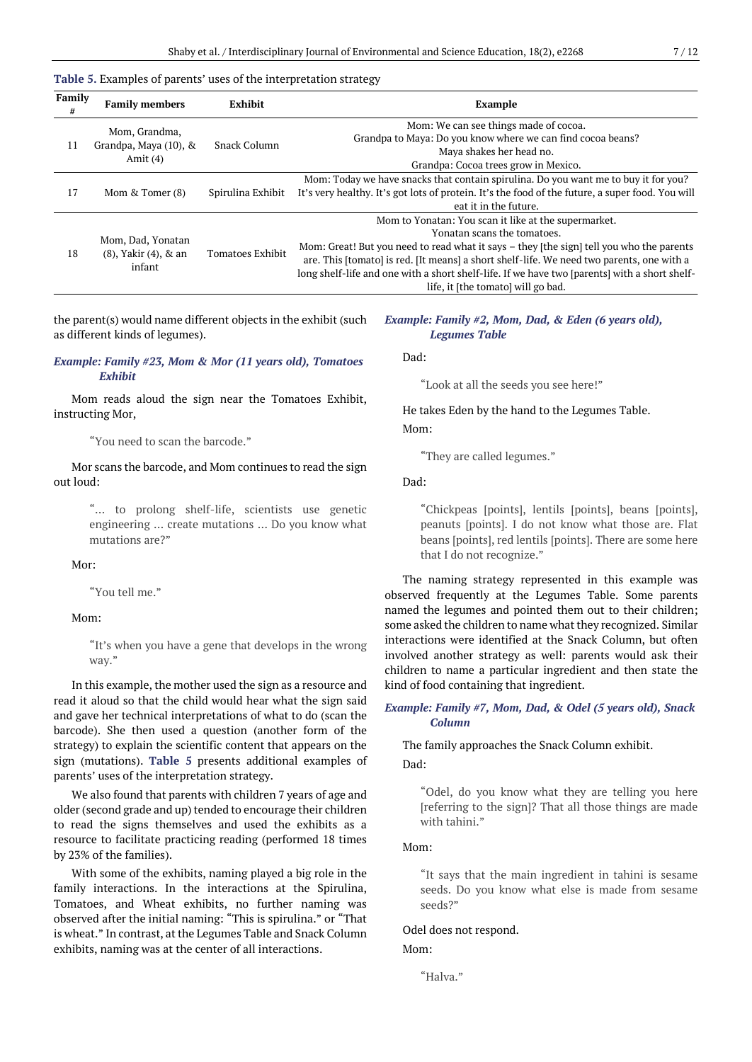#### **Table 5.** Examples of parents' uses of the interpretation strategy

| Family<br># | <b>Family members</b>                                     | Exhibit           | <b>Example</b>                                                                                   |
|-------------|-----------------------------------------------------------|-------------------|--------------------------------------------------------------------------------------------------|
| 11          | Mom, Grandma,<br>Grandpa, Maya (10), &<br>Amit $(4)$      | Snack Column      | Mom: We can see things made of cocoa.                                                            |
|             |                                                           |                   | Grandpa to Maya: Do you know where we can find cocoa beans?                                      |
|             |                                                           |                   | Maya shakes her head no.                                                                         |
|             |                                                           |                   | Grandpa: Cocoa trees grow in Mexico.                                                             |
| 17          | Mom & Tomer (8)                                           |                   | Mom: Today we have snacks that contain spirulina. Do you want me to buy it for you?              |
|             |                                                           | Spirulina Exhibit | It's very healthy. It's got lots of protein. It's the food of the future, a super food. You will |
|             |                                                           |                   | eat it in the future.                                                                            |
| 18          | Mom, Dad, Yonatan<br>$(8)$ , Yakir $(4)$ , & an<br>infant | Tomatoes Exhibit  | Mom to Yonatan: You scan it like at the supermarket.                                             |
|             |                                                           |                   | Yonatan scans the tomatoes.                                                                      |
|             |                                                           |                   | Mom: Great! But you need to read what it says – they [the sign] tell you who the parents         |
|             |                                                           |                   | are. This [tomato] is red. [It means] a short shelf-life. We need two parents, one with a        |
|             |                                                           |                   | long shelf-life and one with a short shelf-life. If we have two [parents] with a short shelf-    |
|             |                                                           |                   | life, it [the tomato] will go bad.                                                               |

the parent(s) would name different objects in the exhibit (such as different kinds of legumes).

## *Example: Family #23, Mom & Mor (11 years old), Tomatoes Exhibit*

Mom reads aloud the sign near the Tomatoes Exhibit, instructing Mor,

"You need to scan the barcode."

Mor scans the barcode, and Mom continues to read the sign out loud:

> "… to prolong shelf-life, scientists use genetic engineering … create mutations … Do you know what mutations are?"

Mor:

"You tell me."

## Mom:

"It's when you have a gene that develops in the wrong way."

In this example, the mother used the sign as a resource and read it aloud so that the child would hear what the sign said and gave her technical interpretations of what to do (scan the barcode). She then used a question (another form of the strategy) to explain the scientific content that appears on the sign (mutations). **Table 5** presents additional examples of parents' uses of the interpretation strategy.

We also found that parents with children 7 years of age and older (second grade and up) tended to encourage their children to read the signs themselves and used the exhibits as a resource to facilitate practicing reading (performed 18 times by 23% of the families).

With some of the exhibits, naming played a big role in the family interactions. In the interactions at the Spirulina, Tomatoes, and Wheat exhibits, no further naming was observed after the initial naming: "This is spirulina." or "That is wheat." In contrast, at the Legumes Table and Snack Column exhibits, naming was at the center of all interactions.

#### *Example: Family #2, Mom, Dad, & Eden (6 years old), Legumes Table*

Dad:

"Look at all the seeds you see here!"

He takes Eden by the hand to the Legumes Table. Mom:

"They are called legumes."

Dad:

"Chickpeas [points], lentils [points], beans [points], peanuts [points]. I do not know what those are. Flat beans [points], red lentils [points]. There are some here that I do not recognize."

The naming strategy represented in this example was observed frequently at the Legumes Table. Some parents named the legumes and pointed them out to their children; some asked the children to name what they recognized. Similar interactions were identified at the Snack Column, but often involved another strategy as well: parents would ask their children to name a particular ingredient and then state the kind of food containing that ingredient.

## *Example: Family #7, Mom, Dad, & Odel (5 years old), Snack Column*

The family approaches the Snack Column exhibit. Dad:

"Odel, do you know what they are telling you here [referring to the sign]? That all those things are made with tahini."

## Mom:

"It says that the main ingredient in tahini is sesame seeds. Do you know what else is made from sesame seeds?"

### Odel does not respond.

#### Mom:

"Halva."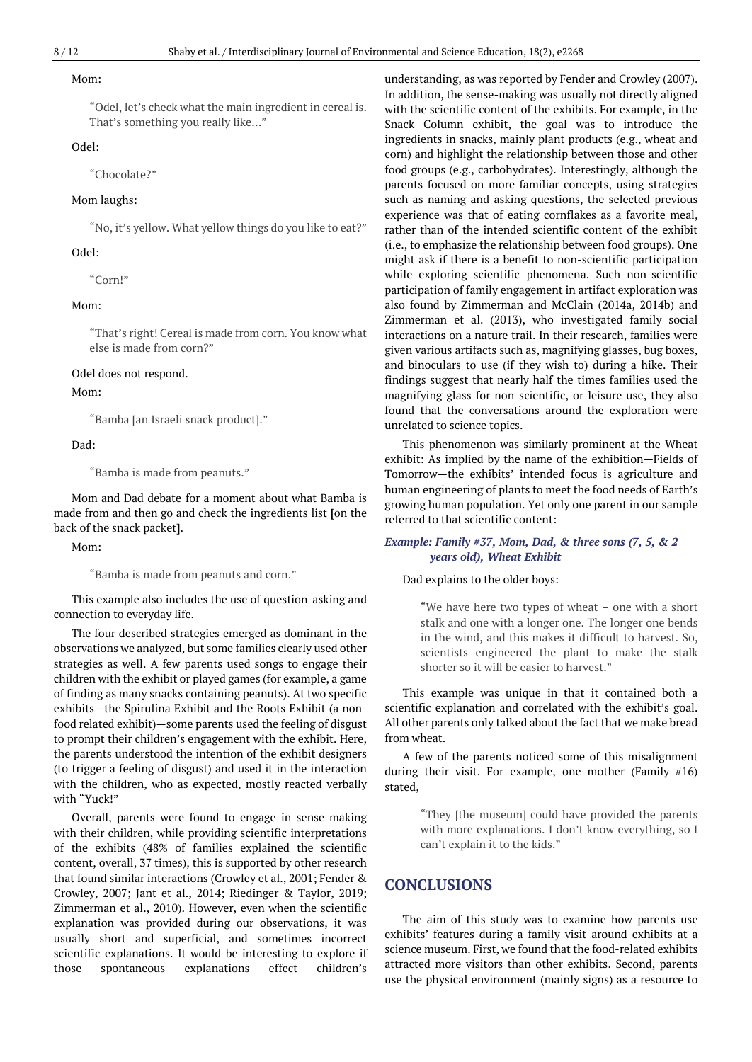#### Mom:

"Odel, let's check what the main ingredient in cereal is. That's something you really like…"

## Odel:

"Chocolate?"

#### Mom laughs:

"No, it's yellow. What yellow things do you like to eat?"

## Odel:

"Corn!"

## Mom:

"That's right! Cereal is made from corn. You know what else is made from corn?"

#### Odel does not respond.

Mom:

"Bamba [an Israeli snack product]."

Dad:

"Bamba is made from peanuts."

Mom and Dad debate for a moment about what Bamba is made from and then go and check the ingredients list **[**on the back of the snack packet**]**.

Mom:

"Bamba is made from peanuts and corn."

This example also includes the use of question-asking and connection to everyday life.

The four described strategies emerged as dominant in the observations we analyzed, but some families clearly used other strategies as well. A few parents used songs to engage their children with the exhibit or played games (for example, a game of finding as many snacks containing peanuts). At two specific exhibits—the Spirulina Exhibit and the Roots Exhibit (a nonfood related exhibit)—some parents used the feeling of disgust to prompt their children's engagement with the exhibit. Here, the parents understood the intention of the exhibit designers (to trigger a feeling of disgust) and used it in the interaction with the children, who as expected, mostly reacted verbally with "Yuck!"

Overall, parents were found to engage in sense-making with their children, while providing scientific interpretations of the exhibits (48% of families explained the scientific content, overall, 37 times), this is supported by other research that found similar interactions (Crowley et al., 2001; Fender & Crowley, 2007; Jant et al., 2014; Riedinger & Taylor, 2019; Zimmerman et al., 2010). However, even when the scientific explanation was provided during our observations, it was usually short and superficial, and sometimes incorrect scientific explanations. It would be interesting to explore if those spontaneous explanations effect children's understanding, as was reported by Fender and Crowley (2007). In addition, the sense-making was usually not directly aligned with the scientific content of the exhibits. For example, in the Snack Column exhibit, the goal was to introduce the ingredients in snacks, mainly plant products (e.g., wheat and corn) and highlight the relationship between those and other food groups (e.g., carbohydrates). Interestingly, although the parents focused on more familiar concepts, using strategies such as naming and asking questions, the selected previous experience was that of eating cornflakes as a favorite meal, rather than of the intended scientific content of the exhibit (i.e., to emphasize the relationship between food groups). One might ask if there is a benefit to non-scientific participation while exploring scientific phenomena. Such non-scientific participation of family engagement in artifact exploration was also found by Zimmerman and McClain (2014a, 2014b) and Zimmerman et al. (2013), who investigated family social interactions on a nature trail. In their research, families were given various artifacts such as, magnifying glasses, bug boxes, and binoculars to use (if they wish to) during a hike. Their findings suggest that nearly half the times families used the magnifying glass for non-scientific, or leisure use, they also found that the conversations around the exploration were unrelated to science topics.

This phenomenon was similarly prominent at the Wheat exhibit: As implied by the name of the exhibition—Fields of Tomorrow—the exhibits' intended focus is agriculture and human engineering of plants to meet the food needs of Earth's growing human population. Yet only one parent in our sample referred to that scientific content:

## *Example: Family #37, Mom, Dad, & three sons (7, 5, & 2 years old), Wheat Exhibit*

#### Dad explains to the older boys:

"We have here two types of wheat – one with a short stalk and one with a longer one. The longer one bends in the wind, and this makes it difficult to harvest. So, scientists engineered the plant to make the stalk shorter so it will be easier to harvest."

This example was unique in that it contained both a scientific explanation and correlated with the exhibit's goal. All other parents only talked about the fact that we make bread from wheat.

A few of the parents noticed some of this misalignment during their visit. For example, one mother (Family #16) stated,

> "They [the museum] could have provided the parents with more explanations. I don't know everything, so I can't explain it to the kids."

## **CONCLUSIONS**

The aim of this study was to examine how parents use exhibits' features during a family visit around exhibits at a science museum. First, we found that the food-related exhibits attracted more visitors than other exhibits. Second, parents use the physical environment (mainly signs) as a resource to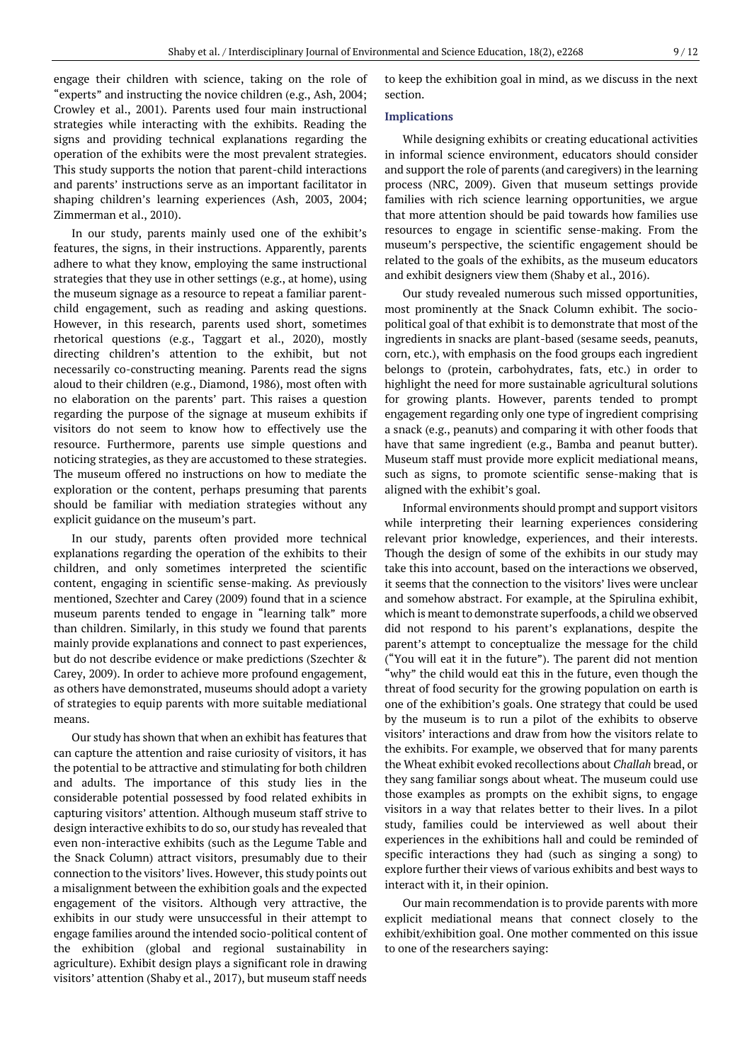engage their children with science, taking on the role of "experts" and instructing the novice children (e.g., Ash, 2004; Crowley et al., 2001). Parents used four main instructional strategies while interacting with the exhibits. Reading the signs and providing technical explanations regarding the operation of the exhibits were the most prevalent strategies. This study supports the notion that parent-child interactions and parents' instructions serve as an important facilitator in shaping children's learning experiences (Ash, 2003, 2004; Zimmerman et al., 2010).

In our study, parents mainly used one of the exhibit's features, the signs, in their instructions. Apparently, parents adhere to what they know, employing the same instructional strategies that they use in other settings (e.g., at home), using the museum signage as a resource to repeat a familiar parentchild engagement, such as reading and asking questions. However, in this research, parents used short, sometimes rhetorical questions (e.g., Taggart et al., 2020), mostly directing children's attention to the exhibit, but not necessarily co-constructing meaning. Parents read the signs aloud to their children (e.g., Diamond, 1986), most often with no elaboration on the parents' part. This raises a question regarding the purpose of the signage at museum exhibits if visitors do not seem to know how to effectively use the resource. Furthermore, parents use simple questions and noticing strategies, as they are accustomed to these strategies. The museum offered no instructions on how to mediate the exploration or the content, perhaps presuming that parents should be familiar with mediation strategies without any explicit guidance on the museum's part.

In our study, parents often provided more technical explanations regarding the operation of the exhibits to their children, and only sometimes interpreted the scientific content, engaging in scientific sense-making. As previously mentioned, Szechter and Carey (2009) found that in a science museum parents tended to engage in "learning talk" more than children. Similarly, in this study we found that parents mainly provide explanations and connect to past experiences, but do not describe evidence or make predictions (Szechter & Carey, 2009). In order to achieve more profound engagement, as others have demonstrated, museums should adopt a variety of strategies to equip parents with more suitable mediational means.

Our study has shown that when an exhibit has features that can capture the attention and raise curiosity of visitors, it has the potential to be attractive and stimulating for both children and adults. The importance of this study lies in the considerable potential possessed by food related exhibits in capturing visitors' attention. Although museum staff strive to design interactive exhibits to do so, our study has revealed that even non-interactive exhibits (such as the Legume Table and the Snack Column) attract visitors, presumably due to their connection to the visitors' lives. However, this study points out a misalignment between the exhibition goals and the expected engagement of the visitors. Although very attractive, the exhibits in our study were unsuccessful in their attempt to engage families around the intended socio-political content of the exhibition (global and regional sustainability in agriculture). Exhibit design plays a significant role in drawing visitors' attention (Shaby et al., 2017), but museum staff needs to keep the exhibition goal in mind, as we discuss in the next section.

## **Implications**

While designing exhibits or creating educational activities in informal science environment, educators should consider and support the role of parents (and caregivers) in the learning process (NRC, 2009). Given that museum settings provide families with rich science learning opportunities, we argue that more attention should be paid towards how families use resources to engage in scientific sense-making. From the museum's perspective, the scientific engagement should be related to the goals of the exhibits, as the museum educators and exhibit designers view them (Shaby et al., 2016).

Our study revealed numerous such missed opportunities, most prominently at the Snack Column exhibit. The sociopolitical goal of that exhibit is to demonstrate that most of the ingredients in snacks are plant-based (sesame seeds, peanuts, corn, etc.), with emphasis on the food groups each ingredient belongs to (protein, carbohydrates, fats, etc.) in order to highlight the need for more sustainable agricultural solutions for growing plants. However, parents tended to prompt engagement regarding only one type of ingredient comprising a snack (e.g., peanuts) and comparing it with other foods that have that same ingredient (e.g., Bamba and peanut butter). Museum staff must provide more explicit mediational means, such as signs, to promote scientific sense-making that is aligned with the exhibit's goal.

Informal environments should prompt and support visitors while interpreting their learning experiences considering relevant prior knowledge, experiences, and their interests. Though the design of some of the exhibits in our study may take this into account, based on the interactions we observed, it seems that the connection to the visitors' lives were unclear and somehow abstract. For example, at the Spirulina exhibit, which is meant to demonstrate superfoods, a child we observed did not respond to his parent's explanations, despite the parent's attempt to conceptualize the message for the child ("You will eat it in the future"). The parent did not mention "why" the child would eat this in the future, even though the threat of food security for the growing population on earth is one of the exhibition's goals. One strategy that could be used by the museum is to run a pilot of the exhibits to observe visitors' interactions and draw from how the visitors relate to the exhibits. For example, we observed that for many parents the Wheat exhibit evoked recollections about *Challah* bread, or they sang familiar songs about wheat. The museum could use those examples as prompts on the exhibit signs, to engage visitors in a way that relates better to their lives. In a pilot study, families could be interviewed as well about their experiences in the exhibitions hall and could be reminded of specific interactions they had (such as singing a song) to explore further their views of various exhibits and best ways to interact with it, in their opinion.

Our main recommendation is to provide parents with more explicit mediational means that connect closely to the exhibit/exhibition goal. One mother commented on this issue to one of the researchers saying: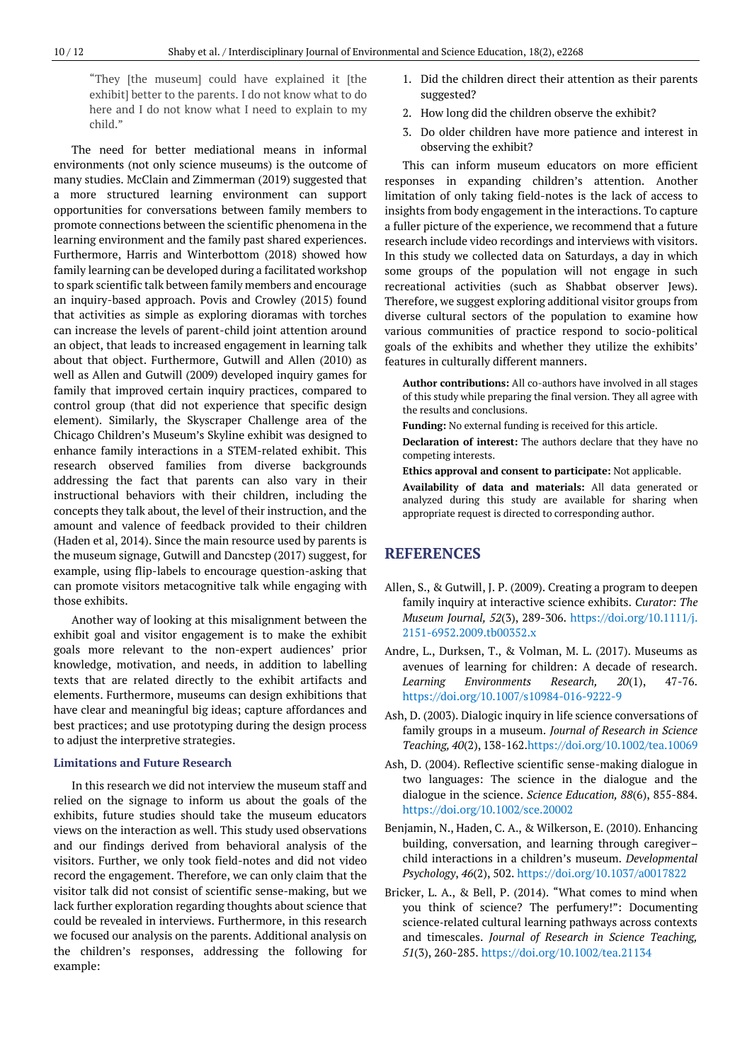"They [the museum] could have explained it [the exhibit] better to the parents. I do not know what to do here and I do not know what I need to explain to my child."

The need for better mediational means in informal environments (not only science museums) is the outcome of many studies. McClain and Zimmerman (2019) suggested that a more structured learning environment can support opportunities for conversations between family members to promote connections between the scientific phenomena in the learning environment and the family past shared experiences. Furthermore, Harris and Winterbottom (2018) showed how family learning can be developed during a facilitated workshop to spark scientific talk between family members and encourage an inquiry-based approach. Povis and Crowley (2015) found that activities as simple as exploring dioramas with torches can increase the levels of parent-child joint attention around an object, that leads to increased engagement in learning talk about that object. Furthermore, Gutwill and Allen (2010) as well as Allen and Gutwill (2009) developed inquiry games for family that improved certain inquiry practices, compared to control group (that did not experience that specific design element). Similarly, the Skyscraper Challenge area of the Chicago Children's Museum's Skyline exhibit was designed to enhance family interactions in a STEM-related exhibit. This research observed families from diverse backgrounds addressing the fact that parents can also vary in their instructional behaviors with their children, including the concepts they talk about, the level of their instruction, and the amount and valence of feedback provided to their children (Haden et al, 2014). Since the main resource used by parents is the museum signage, Gutwill and Dancstep (2017) suggest, for example, using flip-labels to encourage question-asking that can promote visitors metacognitive talk while engaging with those exhibits.

Another way of looking at this misalignment between the exhibit goal and visitor engagement is to make the exhibit goals more relevant to the non-expert audiences' prior knowledge, motivation, and needs, in addition to labelling texts that are related directly to the exhibit artifacts and elements. Furthermore, museums can design exhibitions that have clear and meaningful big ideas; capture affordances and best practices; and use prototyping during the design process to adjust the interpretive strategies.

#### **Limitations and Future Research**

In this research we did not interview the museum staff and relied on the signage to inform us about the goals of the exhibits, future studies should take the museum educators views on the interaction as well. This study used observations and our findings derived from behavioral analysis of the visitors. Further, we only took field-notes and did not video record the engagement. Therefore, we can only claim that the visitor talk did not consist of scientific sense-making, but we lack further exploration regarding thoughts about science that could be revealed in interviews. Furthermore, in this research we focused our analysis on the parents. Additional analysis on the children's responses, addressing the following for example:

- 1. Did the children direct their attention as their parents suggested?
- 2. How long did the children observe the exhibit?
- 3. Do older children have more patience and interest in observing the exhibit?

This can inform museum educators on more efficient responses in expanding children's attention. Another limitation of only taking field-notes is the lack of access to insights from body engagement in the interactions. To capture a fuller picture of the experience, we recommend that a future research include video recordings and interviews with visitors. In this study we collected data on Saturdays, a day in which some groups of the population will not engage in such recreational activities (such as Shabbat observer Jews). Therefore, we suggest exploring additional visitor groups from diverse cultural sectors of the population to examine how various communities of practice respond to socio-political goals of the exhibits and whether they utilize the exhibits' features in culturally different manners.

**Author contributions:** All co-authors have involved in all stages of this study while preparing the final version. They all agree with the results and conclusions.

**Funding:** No external funding is received for this article.

**Declaration of interest:** The authors declare that they have no competing interests.

**Ethics approval and consent to participate:** Not applicable.

**Availability of data and materials:** All data generated or analyzed during this study are available for sharing when appropriate request is directed to corresponding author.

## **REFERENCES**

- Allen, S., & Gutwill, J. P. (2009). Creating a program to deepen family inquiry at interactive science exhibits. *Curator: The Museum Journal, 52*(3), 289-306. [https://doi.org/10.1111/j.](https://doi.org/10.1111/j.2151-6952.2009.tb00352.x) [2151-6952.2009.tb00352.x](https://doi.org/10.1111/j.2151-6952.2009.tb00352.x)
- Andre, L., Durksen, T., & Volman, M. L. (2017). Museums as avenues of learning for children: A decade of research. *Learning Environments Research, 20*(1), 47-76. <https://doi.org/10.1007/s10984-016-9222-9>
- Ash, D. (2003). Dialogic inquiry in life science conversations of family groups in a museum. *Journal of Research in Science Teaching, 40*(2), 138-162[.https://doi.org/10.1002/tea.10069](https://doi.org/10.1002/tea.10069)
- Ash, D. (2004). Reflective scientific sense-making dialogue in two languages: The science in the dialogue and the dialogue in the science. *Science Education, 88*(6), 855-884. <https://doi.org/10.1002/sce.20002>
- Benjamin, N., Haden, C. A., & Wilkerson, E. (2010). Enhancing building, conversation, and learning through caregiver– child interactions in a children's museum. *Developmental Psychology*, *46*(2), 502. <https://doi.org/10.1037/a0017822>
- Bricker, L. A., & Bell, P. (2014). "What comes to mind when you think of science? The perfumery!": Documenting science‐related cultural learning pathways across contexts and timescales. *Journal of Research in Science Teaching, 51*(3), 260-285. <https://doi.org/10.1002/tea.21134>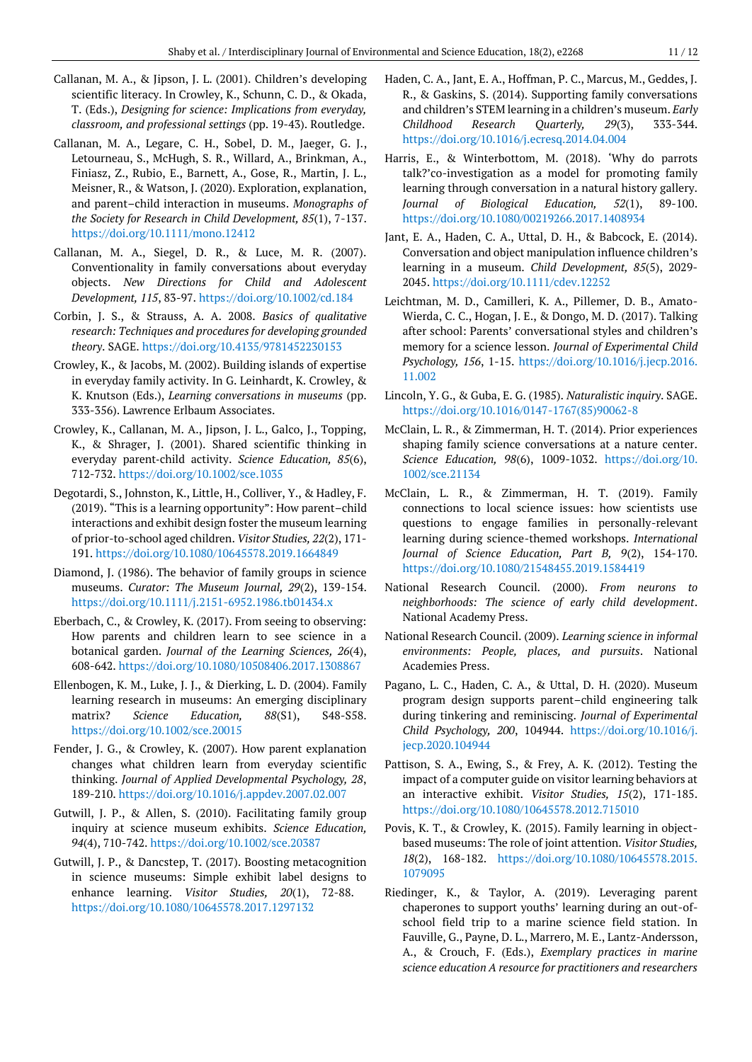- Callanan, M. A., & Jipson, J. L. (2001). Children's developing scientific literacy. In Crowley, K., Schunn, C. D., & Okada, T. (Eds.), *Designing for science: Implications from everyday, classroom, and professional settings* (pp. 19-43). Routledge.
- Callanan, M. A., Legare, C. H., Sobel, D. M., Jaeger, G. J., Letourneau, S., McHugh, S. R., Willard, A., Brinkman, A., Finiasz, Z., Rubio, E., Barnett, A., Gose, R., Martin, J. L., Meisner, R., & Watson, J. (2020). Exploration, explanation, and parent–child interaction in museums. *Monographs of the Society for Research in Child Development, 85*(1), 7-137. <https://doi.org/10.1111/mono.12412>
- Callanan, M. A., Siegel, D. R., & Luce, M. R. (2007). Conventionality in family conversations about everyday objects. *New Directions for Child and Adolescent Development, 115*, 83-97. <https://doi.org/10.1002/cd.184>
- Corbin, J. S., & Strauss, A. A. 2008. *Basics of qualitative research: Techniques and procedures for developing grounded theory*. SAGE. <https://doi.org/10.4135/9781452230153>
- Crowley, K., & Jacobs, M. (2002). Building islands of expertise in everyday family activity. In G. Leinhardt, K. Crowley, & K. Knutson (Eds.), *Learning conversations in museums* (pp. 333-356). Lawrence Erlbaum Associates.
- Crowley, K., Callanan, M. A., Jipson, J. L., Galco, J., Topping, K., & Shrager, J. (2001). Shared scientific thinking in everyday parent‐child activity. *Science Education, 85*(6), 712-732. <https://doi.org/10.1002/sce.1035>
- Degotardi, S., Johnston, K., Little, H., Colliver, Y., & Hadley, F. (2019). "This is a learning opportunity": How parent–child interactions and exhibit design foster the museum learning of prior-to-school aged children. *Visitor Studies, 22*(2), 171- 191. <https://doi.org/10.1080/10645578.2019.1664849>
- Diamond, J. (1986). The behavior of family groups in science museums. *Curator: The Museum Journal, 29*(2), 139-154. <https://doi.org/10.1111/j.2151-6952.1986.tb01434.x>
- Eberbach, C., & Crowley, K. (2017). From seeing to observing: How parents and children learn to see science in a botanical garden. *Journal of the Learning Sciences, 26*(4), 608-642. <https://doi.org/10.1080/10508406.2017.1308867>
- Ellenbogen, K. M., Luke, J. J., & Dierking, L. D. (2004). Family learning research in museums: An emerging disciplinary matrix? *Science Education, 88*(S1), S48-S58. <https://doi.org/10.1002/sce.20015>
- Fender, J. G., & Crowley, K. (2007). How parent explanation changes what children learn from everyday scientific thinking. *Journal of Applied Developmental Psychology, 28*, 189-210.<https://doi.org/10.1016/j.appdev.2007.02.007>
- Gutwill, J. P., & Allen, S. (2010). Facilitating family group inquiry at science museum exhibits. *Science Education, 94*(4), 710-742. <https://doi.org/10.1002/sce.20387>
- Gutwill, J. P., & Dancstep, T. (2017). Boosting metacognition in science museums: Simple exhibit label designs to enhance learning. *Visitor Studies, 20*(1), 72-88. <https://doi.org/10.1080/10645578.2017.1297132>
- Haden, C. A., Jant, E. A., Hoffman, P. C., Marcus, M., Geddes, J. R., & Gaskins, S. (2014). Supporting family conversations and children's STEM learning in a children's museum. *Early Childhood Research Quarterly, 29*(3), 333-344. <https://doi.org/10.1016/j.ecresq.2014.04.004>
- Harris, E., & Winterbottom, M. (2018). 'Why do parrots talk?'co-investigation as a model for promoting family learning through conversation in a natural history gallery. *Journal of Biological Education, 52*(1), 89-100. <https://doi.org/10.1080/00219266.2017.1408934>
- Jant, E. A., Haden, C. A., Uttal, D. H., & Babcock, E. (2014). Conversation and object manipulation influence children's learning in a museum. *Child Development, 85*(5), 2029- 2045. <https://doi.org/10.1111/cdev.12252>
- Leichtman, M. D., Camilleri, K. A., Pillemer, D. B., Amato-Wierda, C. C., Hogan, J. E., & Dongo, M. D. (2017). Talking after school: Parents' conversational styles and children's memory for a science lesson. *Journal of Experimental Child Psychology, 156*, 1-15. [https://doi.org/10.1016/j.jecp.2016.](https://doi.org/10.1016/j.jecp.2016.11.002) [11.002](https://doi.org/10.1016/j.jecp.2016.11.002)
- Lincoln, Y. G., & Guba, E. G. (1985). *Naturalistic inquiry*. SAGE. [https://doi.org/10.1016/0147-1767\(85\)90062-8](https://doi.org/10.1016/0147-1767(85)90062-8)
- McClain, L. R., & Zimmerman, H. T. (2014). Prior experiences shaping family science conversations at a nature center. *Science Education, 98*(6), 1009-1032. [https://doi.org/10.](https://doi.org/10.1002/sce.21134) [1002/sce.21134](https://doi.org/10.1002/sce.21134)
- McClain, L. R., & Zimmerman, H. T. (2019). Family connections to local science issues: how scientists use questions to engage families in personally-relevant learning during science-themed workshops. *International Journal of Science Education, Part B, 9*(2), 154-170. <https://doi.org/10.1080/21548455.2019.1584419>
- National Research Council. (2000). *From neurons to neighborhoods: The science of early child development*. National Academy Press.
- National Research Council. (2009). *Learning science in informal environments: People, places, and pursuits*. National Academies Press.
- Pagano, L. C., Haden, C. A., & Uttal, D. H. (2020). Museum program design supports parent–child engineering talk during tinkering and reminiscing. *Journal of Experimental Child Psychology, 200*, 104944. [https://doi.org/10.1016/j.](https://doi.org/10.1016/j.jecp.2020.104944) [jecp.2020.104944](https://doi.org/10.1016/j.jecp.2020.104944)
- Pattison, S. A., Ewing, S., & Frey, A. K. (2012). Testing the impact of a computer guide on visitor learning behaviors at an interactive exhibit. *Visitor Studies, 15*(2), 171-185. <https://doi.org/10.1080/10645578.2012.715010>
- Povis, K. T., & Crowley, K. (2015). Family learning in objectbased museums: The role of joint attention. *Visitor Studies, 18*(2), 168-182. [https://doi.org/10.1080/10645578.2015.](https://doi.org/10.1080/10645578.2015.1079095) [1079095](https://doi.org/10.1080/10645578.2015.1079095)
- Riedinger, K., & Taylor, A. (2019). Leveraging parent chaperones to support youths' learning during an out-ofschool field trip to a marine science field station. In Fauville, G., Payne, D. L., Marrero, M. E., Lantz-Andersson, A., & Crouch, F. (Eds.), *Exemplary practices in marine science education A resource for practitioners and researchers*